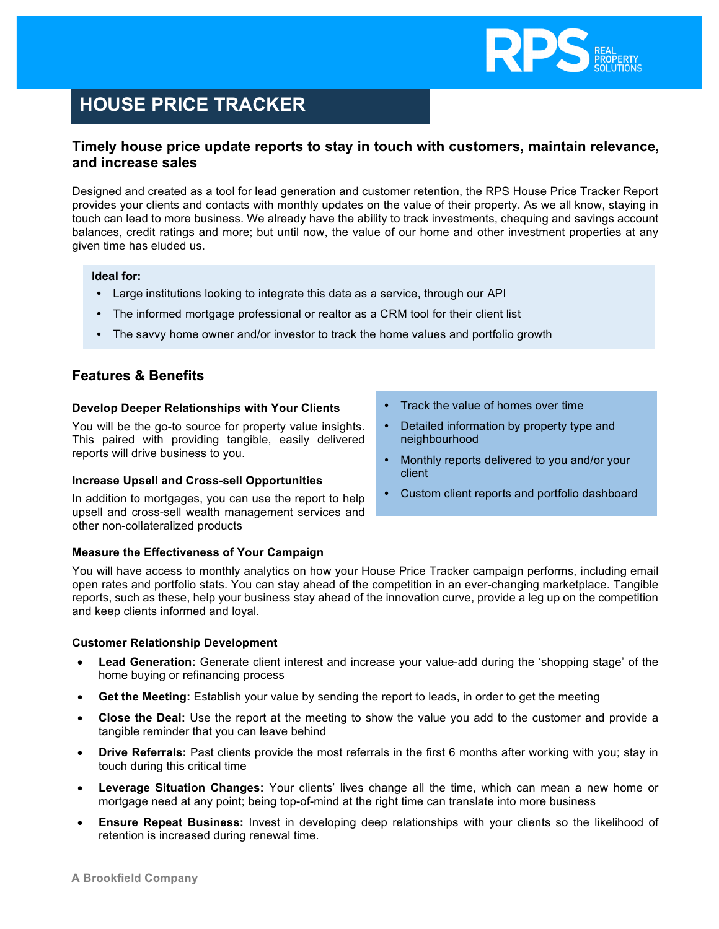

# **HOUSE PRICE TRACKER**

## **Timely house price update reports to stay in touch with customers, maintain relevance, and increase sales**

Designed and created as a tool for lead generation and customer retention, the RPS House Price Tracker Report provides your clients and contacts with monthly updates on the value of their property. As we all know, staying in touch can lead to more business. We already have the ability to track investments, chequing and savings account balances, credit ratings and more; but until now, the value of our home and other investment properties at any given time has eluded us.

#### **Ideal for:**

- **•** Large institutions looking to integrate this data as a service, through our API
- **•** The informed mortgage professional or realtor as a CRM tool for their client list
- **•** The savvy home owner and/or investor to track the home values and portfolio growth

## **Features & Benefits**

#### **Develop Deeper Relationships with Your Clients**

You will be the go-to source for property value insights. This paired with providing tangible, easily delivered reports will drive business to you.

#### **Increase Upsell and Cross-sell Opportunities**

In addition to mortgages, you can use the report to help upsell and cross-sell wealth management services and other non-collateralized products

#### **Measure the Effectiveness of Your Campaign**

You will have access to monthly analytics on how your House Price Tracker campaign performs, including email open rates and portfolio stats. You can stay ahead of the competition in an ever-changing marketplace. Tangible reports, such as these, help your business stay ahead of the innovation curve, provide a leg up on the competition and keep clients informed and loyal.

#### **Customer Relationship Development**

- **Lead Generation:** Generate client interest and increase your value-add during the 'shopping stage' of the home buying or refinancing process
- **Get the Meeting:** Establish your value by sending the report to leads, in order to get the meeting
- **Close the Deal:** Use the report at the meeting to show the value you add to the customer and provide a tangible reminder that you can leave behind
- **Drive Referrals:** Past clients provide the most referrals in the first 6 months after working with you; stay in touch during this critical time
- **Leverage Situation Changes:** Your clients' lives change all the time, which can mean a new home or mortgage need at any point; being top-of-mind at the right time can translate into more business
- **Ensure Repeat Business:** Invest in developing deep relationships with your clients so the likelihood of retention is increased during renewal time.
- **•** Track the value of homes over time
- **•** Detailed information by property type and neighbourhood
- **•** Monthly reports delivered to you and/or your client
- **•** Custom client reports and portfolio dashboard